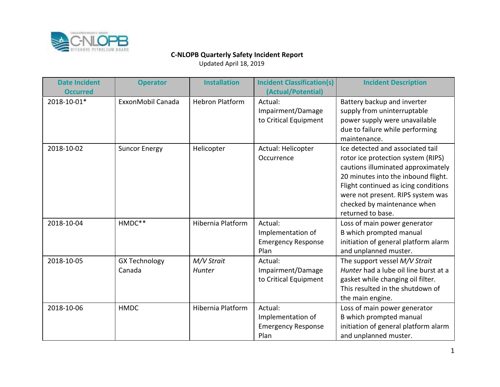

| <b>Date Incident</b><br><b>Occurred</b> | <b>Operator</b>                | <b>Installation</b>    | <b>Incident Classification(s)</b><br>(Actual/Potential)           | <b>Incident Description</b>                                                                                                                                                                                                                                                          |
|-----------------------------------------|--------------------------------|------------------------|-------------------------------------------------------------------|--------------------------------------------------------------------------------------------------------------------------------------------------------------------------------------------------------------------------------------------------------------------------------------|
| 2018-10-01*                             | ExxonMobil Canada              | <b>Hebron Platform</b> | Actual:<br>Impairment/Damage<br>to Critical Equipment             | Battery backup and inverter<br>supply from uninterruptable<br>power supply were unavailable<br>due to failure while performing<br>maintenance.                                                                                                                                       |
| 2018-10-02                              | <b>Suncor Energy</b>           | Helicopter             | Actual: Helicopter<br>Occurrence                                  | Ice detected and associated tail<br>rotor ice protection system (RIPS)<br>cautions illuminated approximately<br>20 minutes into the inbound flight.<br>Flight continued as icing conditions<br>were not present. RIPS system was<br>checked by maintenance when<br>returned to base. |
| 2018-10-04                              | HMDC**                         | Hibernia Platform      | Actual:<br>Implementation of<br><b>Emergency Response</b><br>Plan | Loss of main power generator<br>B which prompted manual<br>initiation of general platform alarm<br>and unplanned muster.                                                                                                                                                             |
| 2018-10-05                              | <b>GX Technology</b><br>Canada | M/V Strait<br>Hunter   | Actual:<br>Impairment/Damage<br>to Critical Equipment             | The support vessel M/V Strait<br>Hunter had a lube oil line burst at a<br>gasket while changing oil filter.<br>This resulted in the shutdown of<br>the main engine.                                                                                                                  |
| 2018-10-06                              | <b>HMDC</b>                    | Hibernia Platform      | Actual:<br>Implementation of<br><b>Emergency Response</b><br>Plan | Loss of main power generator<br>B which prompted manual<br>initiation of general platform alarm<br>and unplanned muster.                                                                                                                                                             |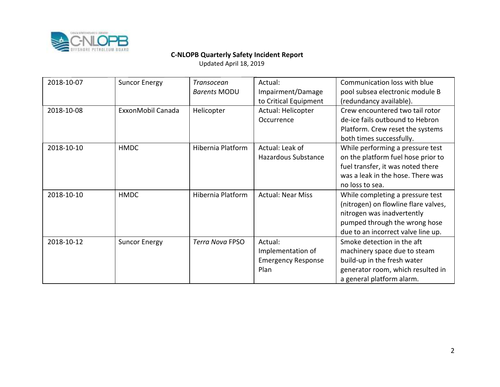

| 2018-10-07 | <b>Suncor Energy</b> | Transocean             | Actual:                   | Communication loss with blue         |
|------------|----------------------|------------------------|---------------------------|--------------------------------------|
|            |                      | <b>Barents MODU</b>    | Impairment/Damage         | pool subsea electronic module B      |
|            |                      |                        | to Critical Equipment     | (redundancy available).              |
| 2018-10-08 | ExxonMobil Canada    | Helicopter             | Actual: Helicopter        | Crew encountered two tail rotor      |
|            |                      |                        | Occurrence                | de-ice fails outbound to Hebron      |
|            |                      |                        |                           | Platform. Crew reset the systems     |
|            |                      |                        |                           | both times successfully.             |
| 2018-10-10 | <b>HMDC</b>          | Hibernia Platform      | Actual: Leak of           | While performing a pressure test     |
|            |                      |                        | Hazardous Substance       | on the platform fuel hose prior to   |
|            |                      |                        |                           | fuel transfer, it was noted there    |
|            |                      |                        |                           | was a leak in the hose. There was    |
|            |                      |                        |                           | no loss to sea.                      |
| 2018-10-10 | <b>HMDC</b>          | Hibernia Platform      | <b>Actual: Near Miss</b>  | While completing a pressure test     |
|            |                      |                        |                           | (nitrogen) on flowline flare valves, |
|            |                      |                        |                           | nitrogen was inadvertently           |
|            |                      |                        |                           | pumped through the wrong hose        |
|            |                      |                        |                           | due to an incorrect valve line up.   |
| 2018-10-12 | <b>Suncor Energy</b> | <b>Terra Nova FPSO</b> | Actual:                   | Smoke detection in the aft           |
|            |                      |                        | Implementation of         | machinery space due to steam         |
|            |                      |                        | <b>Emergency Response</b> | build-up in the fresh water          |
|            |                      |                        | Plan                      | generator room, which resulted in    |
|            |                      |                        |                           | a general platform alarm.            |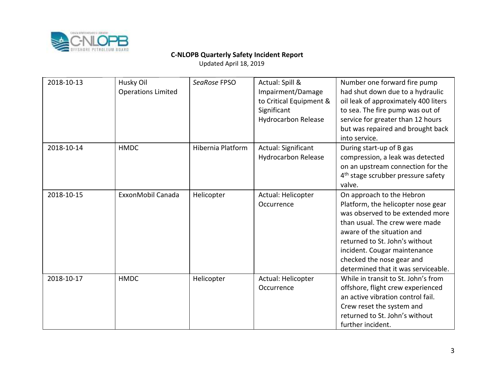

| 2018-10-13 | Husky Oil<br><b>Operations Limited</b> | SeaRose FPSO      | Actual: Spill &<br>Impairment/Damage<br>to Critical Equipment &<br>Significant<br><b>Hydrocarbon Release</b> | Number one forward fire pump<br>had shut down due to a hydraulic<br>oil leak of approximately 400 liters<br>to sea. The fire pump was out of<br>service for greater than 12 hours<br>but was repaired and brought back<br>into service.                                                                   |
|------------|----------------------------------------|-------------------|--------------------------------------------------------------------------------------------------------------|-----------------------------------------------------------------------------------------------------------------------------------------------------------------------------------------------------------------------------------------------------------------------------------------------------------|
| 2018-10-14 | <b>HMDC</b>                            | Hibernia Platform | Actual: Significant<br><b>Hydrocarbon Release</b>                                                            | During start-up of B gas<br>compression, a leak was detected<br>on an upstream connection for the<br>4 <sup>th</sup> stage scrubber pressure safety<br>valve.                                                                                                                                             |
| 2018-10-15 | ExxonMobil Canada                      | Helicopter        | Actual: Helicopter<br>Occurrence                                                                             | On approach to the Hebron<br>Platform, the helicopter nose gear<br>was observed to be extended more<br>than usual. The crew were made<br>aware of the situation and<br>returned to St. John's without<br>incident. Cougar maintenance<br>checked the nose gear and<br>determined that it was serviceable. |
| 2018-10-17 | <b>HMDC</b>                            | Helicopter        | Actual: Helicopter<br>Occurrence                                                                             | While in transit to St. John's from<br>offshore, flight crew experienced<br>an active vibration control fail.<br>Crew reset the system and<br>returned to St. John's without<br>further incident.                                                                                                         |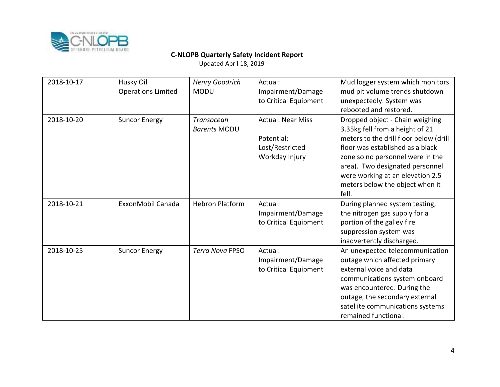

| 2018-10-17 | Husky Oil<br><b>Operations Limited</b> | <b>Henry Goodrich</b><br><b>MODU</b> | Actual:<br>Impairment/Damage<br>to Critical Equipment                       | Mud logger system which monitors<br>mud pit volume trends shutdown<br>unexpectedly. System was<br>rebooted and restored.                                                                                                                                                                                |
|------------|----------------------------------------|--------------------------------------|-----------------------------------------------------------------------------|---------------------------------------------------------------------------------------------------------------------------------------------------------------------------------------------------------------------------------------------------------------------------------------------------------|
| 2018-10-20 | <b>Suncor Energy</b>                   | Transocean<br><b>Barents MODU</b>    | <b>Actual: Near Miss</b><br>Potential:<br>Lost/Restricted<br>Workday Injury | Dropped object - Chain weighing<br>3.35kg fell from a height of 21<br>meters to the drill floor below (drill<br>floor was established as a black<br>zone so no personnel were in the<br>area). Two designated personnel<br>were working at an elevation 2.5<br>meters below the object when it<br>fell. |
| 2018-10-21 | ExxonMobil Canada                      | <b>Hebron Platform</b>               | Actual:<br>Impairment/Damage<br>to Critical Equipment                       | During planned system testing,<br>the nitrogen gas supply for a<br>portion of the galley fire<br>suppression system was<br>inadvertently discharged.                                                                                                                                                    |
| 2018-10-25 | <b>Suncor Energy</b>                   | <b>Terra Nova FPSO</b>               | Actual:<br>Impairment/Damage<br>to Critical Equipment                       | An unexpected telecommunication<br>outage which affected primary<br>external voice and data<br>communications system onboard<br>was encountered. During the<br>outage, the secondary external<br>satellite communications systems<br>remained functional.                                               |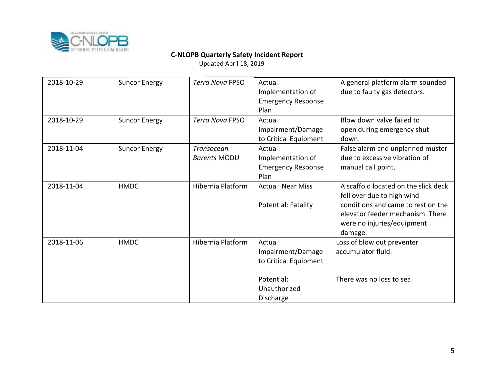

| 2018-10-29 | <b>Suncor Energy</b> | <b>Terra Nova FPSO</b>                   | Actual:<br>Implementation of<br><b>Emergency Response</b><br>Plan                                | A general platform alarm sounded<br>due to faulty gas detectors.                                                                                                                      |
|------------|----------------------|------------------------------------------|--------------------------------------------------------------------------------------------------|---------------------------------------------------------------------------------------------------------------------------------------------------------------------------------------|
| 2018-10-29 | <b>Suncor Energy</b> | <b>Terra Nova FPSO</b>                   | Actual:<br>Impairment/Damage<br>to Critical Equipment                                            | Blow down valve failed to<br>open during emergency shut<br>down.                                                                                                                      |
| 2018-11-04 | <b>Suncor Energy</b> | <b>Transocean</b><br><b>Barents MODU</b> | Actual:<br>Implementation of<br><b>Emergency Response</b><br>Plan                                | False alarm and unplanned muster<br>due to excessive vibration of<br>manual call point.                                                                                               |
| 2018-11-04 | <b>HMDC</b>          | Hibernia Platform                        | <b>Actual: Near Miss</b><br>Potential: Fatality                                                  | A scaffold located on the slick deck<br>fell over due to high wind<br>conditions and came to rest on the<br>elevator feeder mechanism. There<br>were no injuries/equipment<br>damage. |
| 2018-11-06 | <b>HMDC</b>          | Hibernia Platform                        | Actual:<br>Impairment/Damage<br>to Critical Equipment<br>Potential:<br>Unauthorized<br>Discharge | Loss of blow out preventer<br>accumulator fluid.<br>There was no loss to sea.                                                                                                         |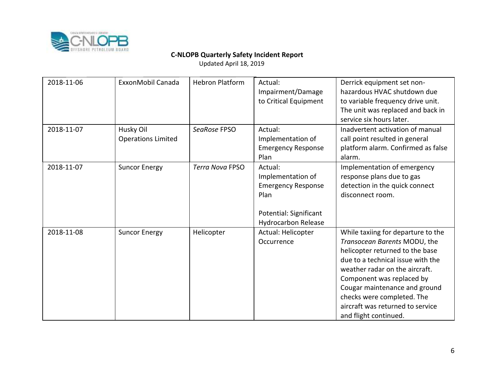

| 2018-11-06 | ExxonMobil Canada                      | <b>Hebron Platform</b> | Actual:<br>Impairment/Damage<br>to Critical Equipment                                                                     | Derrick equipment set non-<br>hazardous HVAC shutdown due<br>to variable frequency drive unit.<br>The unit was replaced and back in<br>service six hours later.                                                                                                                                                                       |
|------------|----------------------------------------|------------------------|---------------------------------------------------------------------------------------------------------------------------|---------------------------------------------------------------------------------------------------------------------------------------------------------------------------------------------------------------------------------------------------------------------------------------------------------------------------------------|
| 2018-11-07 | Husky Oil<br><b>Operations Limited</b> | SeaRose FPSO           | Actual:<br>Implementation of<br><b>Emergency Response</b><br>Plan                                                         | Inadvertent activation of manual<br>call point resulted in general<br>platform alarm. Confirmed as false<br>alarm.                                                                                                                                                                                                                    |
| 2018-11-07 | <b>Suncor Energy</b>                   | <b>Terra Nova FPSO</b> | Actual:<br>Implementation of<br><b>Emergency Response</b><br>Plan<br>Potential: Significant<br><b>Hydrocarbon Release</b> | Implementation of emergency<br>response plans due to gas<br>detection in the quick connect<br>disconnect room.                                                                                                                                                                                                                        |
| 2018-11-08 | <b>Suncor Energy</b>                   | Helicopter             | Actual: Helicopter<br>Occurrence                                                                                          | While taxiing for departure to the<br>Transocean Barents MODU, the<br>helicopter returned to the base<br>due to a technical issue with the<br>weather radar on the aircraft.<br>Component was replaced by<br>Cougar maintenance and ground<br>checks were completed. The<br>aircraft was returned to service<br>and flight continued. |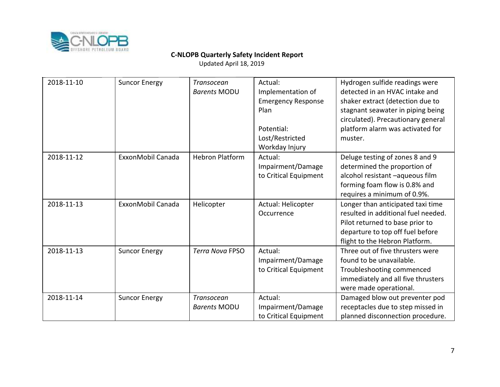

| 2018-11-10 | <b>Suncor Energy</b> | <b>Transocean</b><br><b>Barents MODU</b> | Actual:<br>Implementation of<br><b>Emergency Response</b><br>Plan<br>Potential:<br>Lost/Restricted<br>Workday Injury | Hydrogen sulfide readings were<br>detected in an HVAC intake and<br>shaker extract (detection due to<br>stagnant seawater in piping being<br>circulated). Precautionary general<br>platform alarm was activated for<br>muster. |
|------------|----------------------|------------------------------------------|----------------------------------------------------------------------------------------------------------------------|--------------------------------------------------------------------------------------------------------------------------------------------------------------------------------------------------------------------------------|
| 2018-11-12 | ExxonMobil Canada    | <b>Hebron Platform</b>                   | Actual:<br>Impairment/Damage<br>to Critical Equipment                                                                | Deluge testing of zones 8 and 9<br>determined the proportion of<br>alcohol resistant -aqueous film<br>forming foam flow is 0.8% and<br>requires a minimum of 0.9%.                                                             |
| 2018-11-13 | ExxonMobil Canada    | Helicopter                               | Actual: Helicopter<br>Occurrence                                                                                     | Longer than anticipated taxi time<br>resulted in additional fuel needed.<br>Pilot returned to base prior to<br>departure to top off fuel before<br>flight to the Hebron Platform.                                              |
| 2018-11-13 | <b>Suncor Energy</b> | <b>Terra Nova FPSO</b>                   | Actual:<br>Impairment/Damage<br>to Critical Equipment                                                                | Three out of five thrusters were<br>found to be unavailable.<br>Troubleshooting commenced<br>immediately and all five thrusters<br>were made operational.                                                                      |
| 2018-11-14 | <b>Suncor Energy</b> | <b>Transocean</b><br><b>Barents MODU</b> | Actual:<br>Impairment/Damage<br>to Critical Equipment                                                                | Damaged blow out preventer pod<br>receptacles due to step missed in<br>planned disconnection procedure.                                                                                                                        |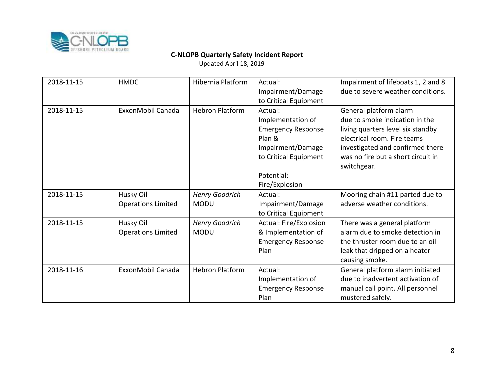

| 2018-11-15 | <b>HMDC</b>                            | Hibernia Platform                    | Actual:<br>Impairment/Damage<br>to Critical Equipment                                                                                             | Impairment of lifeboats 1, 2 and 8<br>due to severe weather conditions.                                                                                                                                               |
|------------|----------------------------------------|--------------------------------------|---------------------------------------------------------------------------------------------------------------------------------------------------|-----------------------------------------------------------------------------------------------------------------------------------------------------------------------------------------------------------------------|
| 2018-11-15 | ExxonMobil Canada                      | <b>Hebron Platform</b>               | Actual:<br>Implementation of<br><b>Emergency Response</b><br>Plan &<br>Impairment/Damage<br>to Critical Equipment<br>Potential:<br>Fire/Explosion | General platform alarm<br>due to smoke indication in the<br>living quarters level six standby<br>electrical room. Fire teams<br>investigated and confirmed there<br>was no fire but a short circuit in<br>switchgear. |
| 2018-11-15 | Husky Oil<br><b>Operations Limited</b> | Henry Goodrich<br><b>MODU</b>        | Actual:<br>Impairment/Damage<br>to Critical Equipment                                                                                             | Mooring chain #11 parted due to<br>adverse weather conditions.                                                                                                                                                        |
| 2018-11-15 | Husky Oil<br><b>Operations Limited</b> | <b>Henry Goodrich</b><br><b>MODU</b> | Actual: Fire/Explosion<br>& Implementation of<br><b>Emergency Response</b><br>Plan                                                                | There was a general platform<br>alarm due to smoke detection in<br>the thruster room due to an oil<br>leak that dripped on a heater<br>causing smoke.                                                                 |
| 2018-11-16 | ExxonMobil Canada                      | <b>Hebron Platform</b>               | Actual:<br>Implementation of<br><b>Emergency Response</b><br>Plan                                                                                 | General platform alarm initiated<br>due to inadvertent activation of<br>manual call point. All personnel<br>mustered safely.                                                                                          |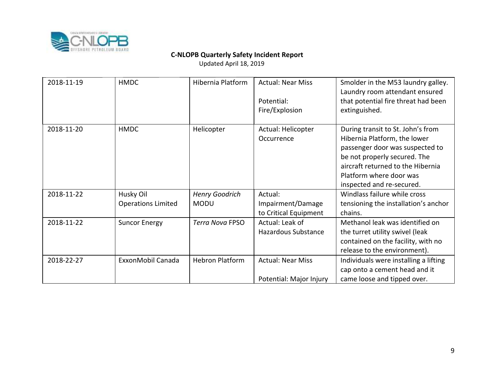

| 2018-11-19 | <b>HMDC</b>                            | Hibernia Platform                    | <b>Actual: Near Miss</b><br>Potential:<br>Fire/Explosion | Smolder in the M53 laundry galley.<br>Laundry room attendant ensured<br>that potential fire threat had been<br>extinguished.                                                                                                      |
|------------|----------------------------------------|--------------------------------------|----------------------------------------------------------|-----------------------------------------------------------------------------------------------------------------------------------------------------------------------------------------------------------------------------------|
| 2018-11-20 | <b>HMDC</b>                            | Helicopter                           | Actual: Helicopter<br>Occurrence                         | During transit to St. John's from<br>Hibernia Platform, the lower<br>passenger door was suspected to<br>be not properly secured. The<br>aircraft returned to the Hibernia<br>Platform where door was<br>inspected and re-secured. |
| 2018-11-22 | Husky Oil<br><b>Operations Limited</b> | <b>Henry Goodrich</b><br><b>MODU</b> | Actual:<br>Impairment/Damage<br>to Critical Equipment    | Windlass failure while cross<br>tensioning the installation's anchor<br>chains.                                                                                                                                                   |
| 2018-11-22 | <b>Suncor Energy</b>                   | <b>Terra Nova FPSO</b>               | Actual: Leak of<br><b>Hazardous Substance</b>            | Methanol leak was identified on<br>the turret utility swivel (leak<br>contained on the facility, with no<br>release to the environment).                                                                                          |
| 2018-22-27 | ExxonMobil Canada                      | <b>Hebron Platform</b>               | <b>Actual: Near Miss</b><br>Potential: Major Injury      | Individuals were installing a lifting<br>cap onto a cement head and it<br>came loose and tipped over.                                                                                                                             |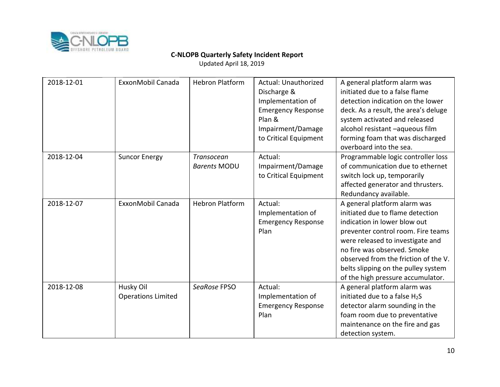

| 2018-12-01 | ExxonMobil Canada                      | <b>Hebron Platform</b>            | Actual: Unauthorized<br>Discharge &<br>Implementation of<br><b>Emergency Response</b><br>Plan &<br>Impairment/Damage<br>to Critical Equipment | A general platform alarm was<br>initiated due to a false flame<br>detection indication on the lower<br>deck. As a result, the area's deluge<br>system activated and released<br>alcohol resistant -aqueous film<br>forming foam that was discharged<br>overboard into the sea.                                                |
|------------|----------------------------------------|-----------------------------------|-----------------------------------------------------------------------------------------------------------------------------------------------|-------------------------------------------------------------------------------------------------------------------------------------------------------------------------------------------------------------------------------------------------------------------------------------------------------------------------------|
| 2018-12-04 | <b>Suncor Energy</b>                   | Transocean<br><b>Barents MODU</b> | Actual:<br>Impairment/Damage<br>to Critical Equipment                                                                                         | Programmable logic controller loss<br>of communication due to ethernet<br>switch lock up, temporarily<br>affected generator and thrusters.<br>Redundancy available.                                                                                                                                                           |
| 2018-12-07 | ExxonMobil Canada                      | <b>Hebron Platform</b>            | Actual:<br>Implementation of<br><b>Emergency Response</b><br>Plan                                                                             | A general platform alarm was<br>initiated due to flame detection<br>indication in lower blow out<br>preventer control room. Fire teams<br>were released to investigate and<br>no fire was observed. Smoke<br>observed from the friction of the V.<br>belts slipping on the pulley system<br>of the high pressure accumulator. |
| 2018-12-08 | Husky Oil<br><b>Operations Limited</b> | SeaRose FPSO                      | Actual:<br>Implementation of<br><b>Emergency Response</b><br>Plan                                                                             | A general platform alarm was<br>initiated due to a false H <sub>2</sub> S<br>detector alarm sounding in the<br>foam room due to preventative<br>maintenance on the fire and gas<br>detection system.                                                                                                                          |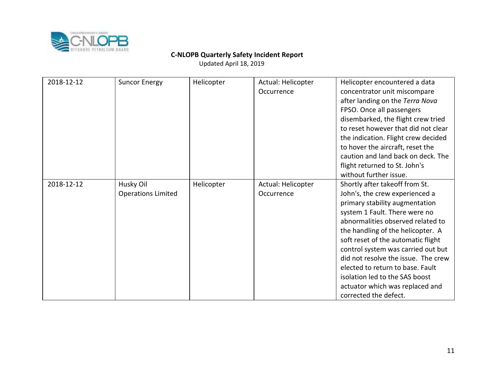

| 2018-12-12 | <b>Suncor Energy</b>      | Helicopter | Actual: Helicopter | Helicopter encountered a data       |
|------------|---------------------------|------------|--------------------|-------------------------------------|
|            |                           |            | Occurrence         | concentrator unit miscompare        |
|            |                           |            |                    | after landing on the Terra Nova     |
|            |                           |            |                    | FPSO. Once all passengers           |
|            |                           |            |                    | disembarked, the flight crew tried  |
|            |                           |            |                    | to reset however that did not clear |
|            |                           |            |                    | the indication. Flight crew decided |
|            |                           |            |                    | to hover the aircraft, reset the    |
|            |                           |            |                    | caution and land back on deck. The  |
|            |                           |            |                    | flight returned to St. John's       |
|            |                           |            |                    | without further issue.              |
| 2018-12-12 | Husky Oil                 | Helicopter | Actual: Helicopter | Shortly after takeoff from St.      |
|            | <b>Operations Limited</b> |            | Occurrence         | John's, the crew experienced a      |
|            |                           |            |                    | primary stability augmentation      |
|            |                           |            |                    | system 1 Fault. There were no       |
|            |                           |            |                    | abnormalities observed related to   |
|            |                           |            |                    | the handling of the helicopter. A   |
|            |                           |            |                    | soft reset of the automatic flight  |
|            |                           |            |                    | control system was carried out but  |
|            |                           |            |                    | did not resolve the issue. The crew |
|            |                           |            |                    | elected to return to base. Fault    |
|            |                           |            |                    | isolation led to the SAS boost      |
|            |                           |            |                    | actuator which was replaced and     |
|            |                           |            |                    | corrected the defect.               |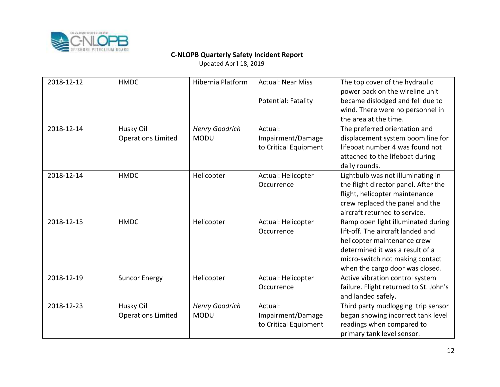

| 2018-12-12 | <b>HMDC</b>               | <b>Hibernia Platform</b> | <b>Actual: Near Miss</b> | The top cover of the hydraulic<br>power pack on the wireline unit |
|------------|---------------------------|--------------------------|--------------------------|-------------------------------------------------------------------|
|            |                           |                          | Potential: Fatality      | became dislodged and fell due to                                  |
|            |                           |                          |                          | wind. There were no personnel in                                  |
|            |                           |                          |                          | the area at the time.                                             |
| 2018-12-14 | Husky Oil                 | <b>Henry Goodrich</b>    | Actual:                  | The preferred orientation and                                     |
|            | <b>Operations Limited</b> | <b>MODU</b>              | Impairment/Damage        | displacement system boom line for                                 |
|            |                           |                          | to Critical Equipment    | lifeboat number 4 was found not                                   |
|            |                           |                          |                          | attached to the lifeboat during                                   |
|            |                           |                          |                          | daily rounds.                                                     |
| 2018-12-14 | <b>HMDC</b>               | Helicopter               | Actual: Helicopter       | Lightbulb was not illuminating in                                 |
|            |                           |                          | Occurrence               | the flight director panel. After the                              |
|            |                           |                          |                          | flight, helicopter maintenance                                    |
|            |                           |                          |                          | crew replaced the panel and the                                   |
|            |                           |                          |                          | aircraft returned to service.                                     |
| 2018-12-15 | <b>HMDC</b>               | Helicopter               | Actual: Helicopter       | Ramp open light illuminated during                                |
|            |                           |                          | Occurrence               | lift-off. The aircraft landed and                                 |
|            |                           |                          |                          | helicopter maintenance crew                                       |
|            |                           |                          |                          | determined it was a result of a                                   |
|            |                           |                          |                          | micro-switch not making contact                                   |
|            |                           |                          |                          | when the cargo door was closed.                                   |
| 2018-12-19 | <b>Suncor Energy</b>      | Helicopter               | Actual: Helicopter       | Active vibration control system                                   |
|            |                           |                          | Occurrence               | failure. Flight returned to St. John's                            |
|            |                           |                          |                          | and landed safely.                                                |
| 2018-12-23 | Husky Oil                 | <b>Henry Goodrich</b>    | Actual:                  | Third party mudlogging trip sensor                                |
|            | <b>Operations Limited</b> | <b>MODU</b>              | Impairment/Damage        | began showing incorrect tank level                                |
|            |                           |                          | to Critical Equipment    | readings when compared to                                         |
|            |                           |                          |                          | primary tank level sensor.                                        |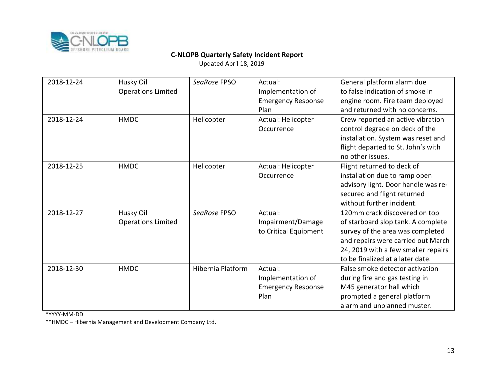

Updated April 18, 2019

| 2018-12-24 | Husky Oil<br><b>Operations Limited</b> | SeaRose FPSO      | Actual:<br>Implementation of<br><b>Emergency Response</b><br>Plan | General platform alarm due<br>to false indication of smoke in<br>engine room. Fire team deployed<br>and returned with no concerns.                                                                                       |
|------------|----------------------------------------|-------------------|-------------------------------------------------------------------|--------------------------------------------------------------------------------------------------------------------------------------------------------------------------------------------------------------------------|
| 2018-12-24 | <b>HMDC</b>                            | Helicopter        | Actual: Helicopter<br>Occurrence                                  | Crew reported an active vibration<br>control degrade on deck of the<br>installation. System was reset and<br>flight departed to St. John's with<br>no other issues.                                                      |
| 2018-12-25 | <b>HMDC</b>                            | Helicopter        | Actual: Helicopter<br>Occurrence                                  | Flight returned to deck of<br>installation due to ramp open<br>advisory light. Door handle was re-<br>secured and flight returned<br>without further incident.                                                           |
| 2018-12-27 | Husky Oil<br><b>Operations Limited</b> | SeaRose FPSO      | Actual:<br>Impairment/Damage<br>to Critical Equipment             | 120mm crack discovered on top<br>of starboard slop tank. A complete<br>survey of the area was completed<br>and repairs were carried out March<br>24, 2019 with a few smaller repairs<br>to be finalized at a later date. |
| 2018-12-30 | <b>HMDC</b>                            | Hibernia Platform | Actual:<br>Implementation of<br><b>Emergency Response</b><br>Plan | False smoke detector activation<br>during fire and gas testing in<br>M45 generator hall which<br>prompted a general platform<br>alarm and unplanned muster.                                                              |

\*YYYY-MM-DD

\*\*HMDC – Hibernia Management and Development Company Ltd.